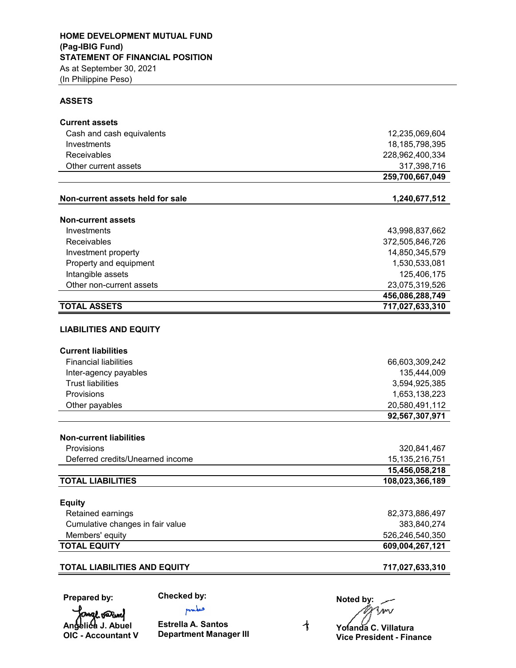#### **ASSETS**

| <b>Current assets</b>                                      |                               |
|------------------------------------------------------------|-------------------------------|
| Cash and cash equivalents                                  | 12,235,069,604                |
| Investments                                                | 18,185,798,395                |
| Receivables                                                | 228,962,400,334               |
| Other current assets                                       | 317,398,716                   |
|                                                            | 259,700,667,049               |
| Non-current assets held for sale                           | 1,240,677,512                 |
| <b>Non-current assets</b>                                  |                               |
| Investments                                                | 43,998,837,662                |
| Receivables                                                | 372,505,846,726               |
| Investment property                                        | 14,850,345,579                |
| Property and equipment                                     | 1,530,533,081                 |
| Intangible assets                                          | 125,406,175                   |
| Other non-current assets                                   | 23,075,319,526                |
|                                                            | 456,086,288,749               |
| <b>TOTAL ASSETS</b>                                        | 717,027,633,310               |
| <b>LIABILITIES AND EQUITY</b>                              |                               |
| <b>Current liabilities</b><br><b>Financial liabilities</b> |                               |
|                                                            | 66,603,309,242<br>135,444,009 |
| Inter-agency payables<br><b>Trust liabilities</b>          | 3,594,925,385                 |
| Provisions                                                 | 1,653,138,223                 |
| Other payables                                             | 20,580,491,112                |
|                                                            | 92,567,307,971                |
|                                                            |                               |
| <b>Non-current liabilities</b>                             |                               |
| Provisions                                                 | 320,841,467                   |
| Deferred credits/Unearned income                           | 15, 135, 216, 751             |
|                                                            | 15,456,058,218                |
| <b>TOTAL LIABILITIES</b>                                   | 108,023,366,189               |
| <b>Equity</b>                                              |                               |
| Retained earnings                                          | 82,373,886,497                |
| Cumulative changes in fair value                           | 383,840,274                   |
| Members' equity                                            | 526,246,540,350               |
| <b>TOTAL EQUITY</b>                                        | 609,004,267,121               |
|                                                            |                               |
| <b>TOTAL LIABILITIES AND EQUITY</b>                        | 717,027,633,310               |

**Prepared by:**

**Checked by:** pulses

fange varmel **Angelica J. Abuel OIC - Accountant V**

**Estrella A. Santos Department Manager III**

**Noted by:**<br>All your **Yolanda C. Villatura**

 $\overline{\mathcal{A}}$ 

**Vice President - Finance**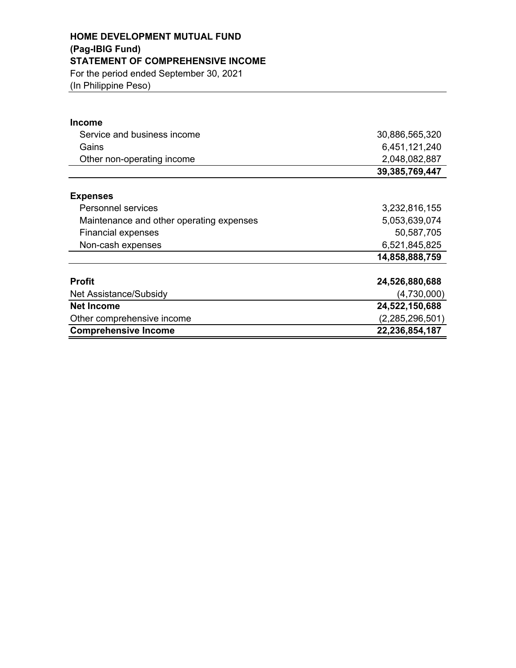### **HOME DEVELOPMENT MUTUAL FUND (Pag-IBIG Fund) STATEMENT OF COMPREHENSIVE INCOME** For the period ended September 30, 2021 (In Philippine Peso)

| <b>Income</b>                            |                 |
|------------------------------------------|-----------------|
| Service and business income              | 30,886,565,320  |
| Gains                                    | 6,451,121,240   |
| Other non-operating income               | 2,048,082,887   |
|                                          | 39,385,769,447  |
| <b>Expenses</b>                          |                 |
| <b>Personnel services</b>                | 3,232,816,155   |
| Maintenance and other operating expenses | 5,053,639,074   |
| <b>Financial expenses</b>                | 50,587,705      |
| Non-cash expenses                        | 6,521,845,825   |
|                                          | 14,858,888,759  |
| <b>Profit</b>                            | 24,526,880,688  |
| Net Assistance/Subsidy                   | (4,730,000)     |
| <b>Net Income</b>                        | 24,522,150,688  |
| Other comprehensive income               | (2,285,296,501) |
| <b>Comprehensive Income</b>              | 22,236,854,187  |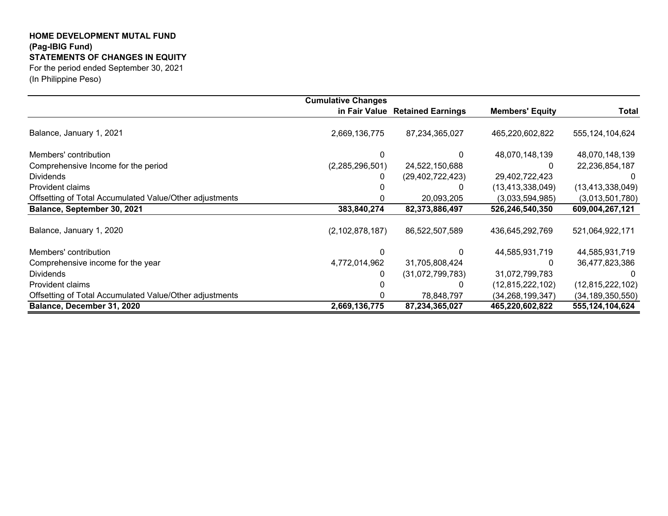#### **HOME DEVELOPMENT MUTAL FUND (Pag-IBIG Fund) STATEMENTS OF CHANGES IN EQUITY** For the period ended September 30, 2021

(In Philippine Peso)

|                                                         | <b>Cumulative Changes</b> |                                 |                        |                     |
|---------------------------------------------------------|---------------------------|---------------------------------|------------------------|---------------------|
|                                                         |                           | in Fair Value Retained Earnings | <b>Members' Equity</b> | Total               |
| Balance, January 1, 2021                                | 2,669,136,775             | 87,234,365,027                  | 465,220,602,822        | 555, 124, 104, 624  |
| Members' contribution                                   |                           |                                 | 48,070,148,139         | 48,070,148,139      |
| Comprehensive Income for the period                     | (2,285,296,501)           | 24,522,150,688                  |                        | 22,236,854,187      |
| <b>Dividends</b>                                        | 0                         | (29, 402, 722, 423)             | 29,402,722,423         |                     |
| Provident claims                                        |                           |                                 | (13, 413, 338, 049)    | (13, 413, 338, 049) |
| Offsetting of Total Accumulated Value/Other adjustments |                           | 20,093,205                      | (3,033,594,985)        | (3,013,501,780)     |
| Balance, September 30, 2021                             | 383,840,274               | 82,373,886,497                  | 526,246,540,350        | 609,004,267,121     |
| Balance, January 1, 2020                                | (2, 102, 878, 187)        | 86,522,507,589                  | 436,645,292,769        | 521,064,922,171     |
| Members' contribution                                   |                           |                                 | 44,585,931,719         | 44,585,931,719      |
| Comprehensive income for the year                       | 4,772,014,962             | 31,705,808,424                  | <sup>0</sup>           | 36,477,823,386      |
| <b>Dividends</b>                                        | 0                         | (31,072,799,783)                | 31,072,799,783         |                     |
| Provident claims                                        |                           |                                 | (12, 815, 222, 102)    | (12,815,222,102)    |
| Offsetting of Total Accumulated Value/Other adjustments |                           | 78,848,797                      | (34, 268, 199, 347)    | (34, 189, 350, 550) |
| Balance, December 31, 2020                              | 2,669,136,775             | 87,234,365,027                  | 465,220,602,822        | 555,124,104,624     |